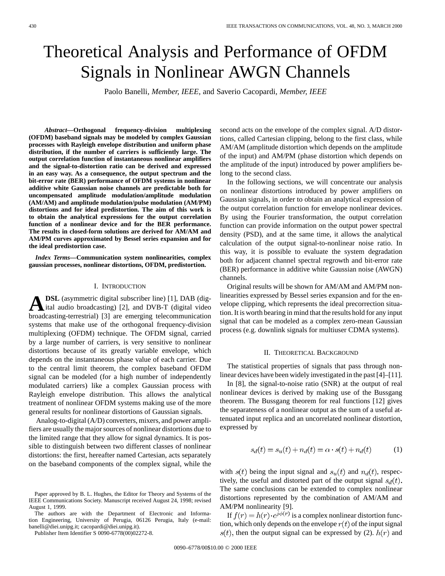# Theoretical Analysis and Performance of OFDM Signals in Nonlinear AWGN Channels

Paolo Banelli*, Member, IEEE,* and Saverio Cacopardi*, Member, IEEE*

*Abstract—***Orthogonal frequency-division multiplexing (OFDM) baseband signals may be modeled by complex Gaussian processes with Rayleigh envelope distribution and uniform phase distribution, if the number of carriers is sufficiently large. The output correlation function of instantaneous nonlinear amplifiers and the signal-to-distortion ratio can be derived and expressed in an easy way. As a consequence, the output spectrum and the bit-error rate (BER) performance of OFDM systems in nonlinear additive white Gaussian noise channels are predictable both for uncompensated amplitude modulation/amplitude modulation (AM/AM) and amplitude modulation/pulse modulation (AM/PM) distortions and for ideal predistortion. The aim of this work is to obtain the analytical expressions for the output correlation function of a nonlinear device and for the BER performance. The results in closed-form solutions are derived for AM/AM and AM/PM curves approximated by Bessel series expansion and for the ideal predistortion case.**

*Index Terms—***Communication system nonlinearities, complex gaussian processes, nonlinear distortions, OFDM, predistortion.**

### I. INTRODUCTION

**ADSL** (asymmetric digital subscriber line) [1], DAB (dig-<br>ital audio broadcasting) [2], and DVB-T (digital video broadcasting-terrestrial) [3] are emerging telecommunication systems that make use of the orthogonal frequency-division multiplexing (OFDM) technique. The OFDM signal, carried by a large number of carriers, is very sensitive to nonlinear distortions because of its greatly variable envelope, which depends on the instantaneous phase value of each carrier. Due to the central limit theorem, the complex baseband OFDM signal can be modeled (for a high number of independently modulated carriers) like a complex Gaussian process with Rayleigh envelope distribution. This allows the analytical treatment of nonlinear OFDM systems making use of the more general results for nonlinear distortions of Gaussian signals.

Analog-to-digital (A/D) converters, mixers, and power amplifiers are usually the major sources of nonlinear distortions due to the limited range that they allow for signal dynamics. It is possible to distinguish between two different classes of nonlinear distortions: the first, hereafter named Cartesian, acts separately on the baseband components of the complex signal, while the

The authors are with the Department of Electronic and Information Engineering, University of Perugia, 06126 Perugia, Italy (e-mail: banelli@diei.unipg.it; cacopardi@diei.unipg.it).

Publisher Item Identifier S 0090-6778(00)02272-8.

second acts on the envelope of the complex signal. A/D distortions, called Cartesian clipping, belong to the first class, while AM/AM (amplitude distortion which depends on the amplitude of the input) and AM/PM (phase distortion which depends on the amplitude of the input) introduced by power amplifiers belong to the second class.

In the following sections, we will concentrate our analysis on nonlinear distortions introduced by power amplifiers on Gaussian signals, in order to obtain an analytical expression of the output correlation function for envelope nonlinear devices. By using the Fourier transformation, the output correlation function can provide information on the output power spectral density (PSD), and at the same time, it allows the analytical calculation of the output signal-to-nonlinear noise ratio. In this way, it is possible to evaluate the system degradation both for adjacent channel spectral regrowth and bit-error rate (BER) performance in additive white Gaussian noise (AWGN) channels.

Original results will be shown for AM/AM and AM/PM nonlinearities expressed by Bessel series expansion and for the envelope clipping, which represents the ideal precorrection situation. It is worth bearing in mind that the results hold for any input signal that can be modeled as a complex zero-mean Gaussian process (e.g. downlink signals for multiuser CDMA systems).

## II. THEORETICAL BACKGROUND

The statistical properties of signals that pass through nonlinear devices have been widely investigated in the past [4]–[11].

In [8], the signal-to-noise ratio (SNR) at the output of real nonlinear devices is derived by making use of the Bussgang theorem. The Bussgang theorem for real functions [12] gives the separateness of a nonlinear output as the sum of a useful attenuated input replica and an uncorrelated nonlinear distortion, expressed by

$$
s_d(t) = s_u(t) + n_d(t) = \alpha \cdot s(t) + n_d(t) \tag{1}
$$

with  $s(t)$  being the input signal and  $s_u(t)$  and  $n_d(t)$ , respectively, the useful and distorted part of the output signal  $s_d(t)$ . The same conclusions can be extended to complex nonlinear distortions represented by the combination of AM/AM and AM/PM nonlinearity [9].

If  $f(r) = h(r) \cdot e^{j\phi(r)}$  is a complex nonlinear distortion function, which only depends on the envelope  $r(t)$  of the input signal  $s(t)$ , then the output signal can be expressed by (2).  $h(r)$  and

Paper approved by B. L. Hughes, the Editor for Theory and Systems of the IEEE Communications Society. Manuscript received August 24, 1998; revised August 1, 1999.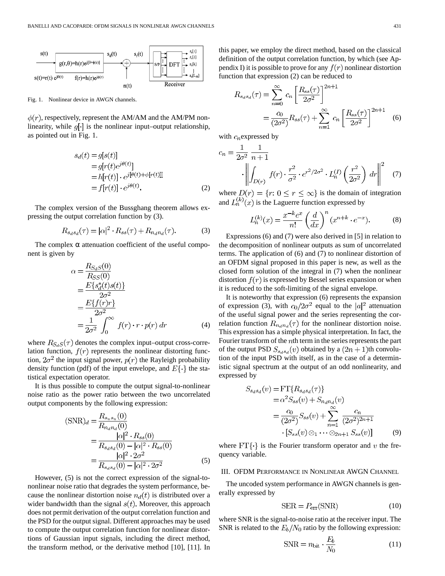

Fig. 1. Nonlinear device in AWGN channels.

 $\phi(r)$ , respectively, represent the AM/AM and the AM/PM nonlinearity, while  $g[\cdot]$  is the nonlinear input–output relationship, as pointed out in Fig. 1.

$$
s_d(t) = g[s(t)]
$$
  
=  $g[r(t)e^{j\theta(t)}]$   
=  $h[r(t)] \cdot e^{j[\theta(t) + \phi[r(t)]]}$   
=  $f[r(t)] \cdot e^{j\theta(t)}$ . (2)

The complex version of the Bussghang theorem allows expressing the output correlation function by (3).

$$
R_{s_d s_d}(\tau) = |\alpha|^2 \cdot R_{ss}(\tau) + R_{n_d n_d}(\tau). \tag{3}
$$

The complex  $\alpha$  attenuation coefficient of the useful component is given by

$$
\alpha = \frac{R_{S_d S}(0)}{R_{SS}(0)}
$$
  
= 
$$
\frac{E\{s_d^*(t)s(t)\}}{2\sigma^2}
$$
  
= 
$$
\frac{E\{f(r)r\}}{2\sigma^2}
$$
  
= 
$$
\frac{1}{2\sigma^2} \int_0^\infty f(r) \cdot r \cdot p(r) dr
$$
 (4)

where  $R_{S_dS}(\tau)$  denotes the complex input–output cross-correlation function,  $f(r)$  represents the nonlinear distorting function,  $2\sigma^2$  the input signal power,  $p(r)$  the Rayleigh probability density function (pdf) of the input envelope, and  $E\{\cdot\}$  the statistical expectation operator.

It is thus possible to compute the output signal-to-nonlinear noise ratio as the power ratio between the two uncorrelated output components by the following expression:

$$
(\text{SNR})_d = \frac{R_{s_u s_u}(0)}{R_{n_d n_d}(0)}
$$
  
= 
$$
\frac{|\alpha|^2 \cdot R_{ss}(0)}{R_{s_d s_d}(0) - |\alpha|^2 \cdot R_{ss}(0)}
$$
  
= 
$$
\frac{|\alpha|^2 \cdot 2\sigma^2}{R_{s_d s_d}(0) - |\alpha|^2 \cdot 2\sigma^2}
$$
(5)

However, (5) is not the correct expression of the signal-tononlinear noise ratio that degrades the system performance, because the nonlinear distortion noise  $n_d(t)$  is distributed over a wider bandwidth than the signal  $s(t)$ . Moreover, this approach does not permit derivation of the output correlation function and the PSD for the output signal. Different approaches may be used to compute the output correlation function for nonlinear distortions of Gaussian input signals, including the direct method, the transform method, or the derivative method [10], [11]. In this paper, we employ the direct method, based on the classical definition of the output correlation function, by which (see Appendix I) it is possible to prove for any  $f(r)$  nonlinear distortion function that expression (2) can be reduced to

$$
R_{s_d s_d}(\tau) = \sum_{n=0}^{\infty} c_n \left[ \frac{R_{ss}(\tau)}{2\sigma^2} \right]^{2n+1}
$$
  
=  $\frac{c_0}{(2\sigma^2)} R_{ss}(\tau) + \sum_{n=1}^{\infty} c_n \left[ \frac{R_{ss}(\tau)}{2\sigma^2} \right]^{2n+1}$  (6)

with  $c_n$  expressed by

$$
c_n = \frac{1}{2\sigma^2} \frac{1}{n+1} \left\| \int_{D(r)} f(r) \cdot \frac{r^2}{\sigma^2} \cdot e^{r^2/2\sigma^2} \cdot L_n^{(I)}\left(\frac{r^2}{2\sigma^2}\right) dr \right\|^2 \quad (7)
$$

where  $D(r) = \{r: 0 \le r \le \infty\}$  is the domain of integration and  $L_n^{(k)}(x)$  is the Laguerre function expressed by

$$
L_n^{(k)}(x) = \frac{x^{-k}e^x}{n!} \left(\frac{d}{dx}\right)^n (x^{n+k} \cdot e^{-x}).
$$
 (8)

Expressions (6) and (7) were also derived in [5] in relation to the decomposition of nonlinear outputs as sum of uncorrelated terms. The application of (6) and (7) to nonlinear distortion of an OFDM signal proposed in this paper is new, as well as the closed form solution of the integral in (7) when the nonlinear distortion  $f(r)$  is expressed by Bessel series expansion or when it is reduced to the soft-limiting of the signal envelope.

It is noteworthy that expression (6) represents the expansion of expression (3), with  $c_0/2\sigma^2$  equal to the  $|a|^2$  attenuation of the useful signal power and the series representing the correlation function  $R_{n_d n_d}(\tau)$  for the nonlinear distortion noise. This expression has a simple physical interpretation. In fact, the Fourier transform of the  $n$ th term in the series represents the part of the output PSD  $S_{s_d s_d}(v)$  obtained by a  $(2n + 1)$ th convolution of the input PSD with itself, as in the case of a deterministic signal spectrum at the output of an odd nonlinearity, and expressed by

$$
S_{s_d s_d}(v) = \text{FT}\{R_{s_d s_d}(\tau)\}\
$$

$$
= \alpha^2 S_{ss}(v) + S_{n_d n_d}(v)
$$

$$
= \frac{c_0}{(2\sigma^2)} S_{ss}(v) + \sum_{n=1}^{\infty} \frac{c_n}{(2\sigma^2)^{2n+1}}
$$

$$
\cdot [S_{ss}(v) \otimes_1 \cdots \otimes_{2n+1} S_{ss}(v)] \tag{9}
$$

where  $\text{FT}\{\cdot\}$  is the Fourier transform operator and v the frequency variable.

#### III. OFDM PERFORMANCE IN NONLINEAR AWGN CHANNEL

The uncoded system performance in AWGN channels is generally expressed by

$$
SER = P_{\rm err}(SNR)
$$
 (10)

where SNR is the signal-to-noise ratio at the receiver input. The SNR is related to the  $E_b/N_0$  ratio by the following expression:

$$
\text{SNR} = n_{\text{bit}} \cdot \frac{E_b}{N_0} \tag{11}
$$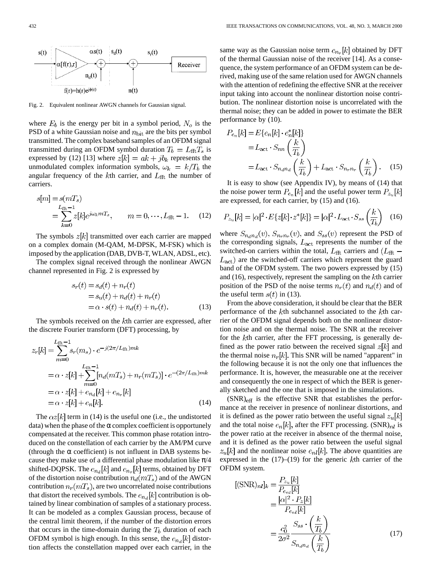

Fig. 2. Equivalent nonlinear AWGN channels for Gaussian signal.

where  $E_b$  is the energy per bit in a symbol period,  $N_o$  is the PSD of a white Gaussian noise and  $n_{\text{bit}}$  are the bits per symbol transmitted. The complex baseband samples of an OFDM signal transmitted during an OFDM symbol duration  $T_b = L_{\text{fft}} T_s$  is expressed by (12) [13] where  $z[k] = ak + jb_k$  represents the unmodulated complex information symbols,  $\omega_k = k/T_b$  the angular frequency of the  $k$ th carrier, and  $L_{\text{fft}}$  the number of carriers.

$$
s[m] = s(mT_s)
$$
  
=  $\sum_{k=0}^{L_{\text{fft}}-1} z[k] e^{j\omega_k m T_s}$ ,  $m = 0, \dots, L_{\text{fft}} - 1.$  (12)

The symbols  $z[k]$  transmitted over each carrier are mapped on a complex domain (M-QAM, M-DPSK, M-FSK) which is imposed by the application (DAB, DVB-T, WLAN, ADSL, etc).

The complex signal received through the nonlinear AWGN channel represented in Fig. 2 is expressed by

$$
s_r(t) = s_d(t) + n_r(t)
$$
  
=  $s_u(t) + n_d(t) + n_r(t)$   
=  $\alpha \cdot s(t) + n_d(t) + n_r(t)$ . (13)

The symbols received on the  $k$ th carrier are expressed, after the discrete Fourier transform (DFT) processing, by

$$
z_r[k] = \sum_{m=0}^{L_{\text{fft}}-1} s_r(m_s) \cdot e^{-j(2\pi/L_{\text{fft}})mk}
$$
  
=  $\alpha \cdot z[k] + \sum_{m=0}^{L_{\text{fft}}-1} [n_d(mT_s) + n_r(mT_s)] \cdot e^{-(2\pi/L_{\text{fft}})mk}$   
=  $\alpha \cdot z[k] + e_{n_d}[k] + e_{n_r}[k]$   
=  $\alpha \cdot z[k] + e_n[k].$  (14)

The  $\alpha z[k]$  term in (14) is the useful one (i.e., the undistorted data) when the phase of the  $\alpha$  complex coefficient is opportunely compensated at the receiver. This common phase rotation introduced on the constellation of each carrier by the AM/PM curve (through the  $\alpha$  coefficient) is not influent in DAB systems because they make use of a differential phase modulation like  $\pi/4$ shifted-DQPSK. The  $e_{n_d}[k]$  and  $e_{n_r}[k]$  terms, obtained by DFT of the distortion noise contribution  $n_d(mT_s)$  and of the AWGN contribution  $n_r(mT_s)$ , are two uncorrelated noise contributions that distort the received symbols. The  $e_{n_d}[k]$  contribution is obtained by linear combination of samples of a stationary process. It can be modeled as a complex Gaussian process, because of the central limit theorem, if the number of the distortion errors that occurs in the time-domain during the  $T_b$  duration of each OFDM symbol is high enough. In this sense, the  $e_{n_d}[k]$  distortion affects the constellation mapped over each carrier, in the same way as the Gaussian noise term  $e_{n_r}[k]$  obtained by DFT of the thermal Gaussian noise of the receiver [14]. As a consequence, the system performance of an OFDM system can be derived, making use of the same relation used for AWGN channels with the attention of redefining the effective SNR at the receiver input taking into account the nonlinear distortion noise contribution. The nonlinear distortion noise is uncorrelated with the thermal noise; they can be added in power to estimate the BER performance by (10).

$$
P_{e_n}[k] = E\{e_n[k] \cdot e_n^*[k]\}
$$
  
=  $L_{\text{act}} \cdot S_{nn} \left(\frac{k}{T_b}\right)$   
=  $L_{\text{act}} \cdot S_{n_d n_d} \left(\frac{k}{T_b}\right) + L_{\text{act}} \cdot S_{n_r n_r} \left(\frac{k}{T_b}\right).$  (15)

J

It is easy to show (see Appendix IV), by means of (14) that the noise power term  $P_{\epsilon_n}[k]$  and the useful power term  $P_{z_n}[k]$ are expressed, for each carrier, by (15) and (16).

$$
P_{z_u}[k] = |\alpha|^2 \cdot E\{z[k] \cdot z^*[k]\} = |\alpha|^2 \cdot L_{\text{act}} \cdot S_{ss}\left(\frac{k}{T_b}\right) \quad (16)
$$

where  $S_{n_a n_a}(v)$ ,  $S_{n_r n_r}(v)$ , and  $S_{ss}(v)$  represent the PSD of the corresponding signals,  $L_{\text{act}}$  represents the number of the switched-on carriers within the total,  $L_{\text{fft}}$  carriers and  $(L_{\text{fft}} L_{\text{act}}$ ) are the switched-off carriers which represent the guard band of the OFDM system. The two powers expressed by (15) and  $(16)$ , respectively, represent the sampling on the  $k$ th carrier position of the PSD of the noise terms  $n_r(t)$  and  $n_d(t)$  and of the useful term  $s(t)$  in (13).

From the above consideration, it should be clear that the BER performance of the  $k$ th subchannel associated to the  $k$ th carrier of the OFDM signal depends both on the nonlinear distortion noise and on the thermal noise. The SNR at the receiver for the  $k$ th carrier, after the FFT processing, is generally defined as the power ratio between the received signal  $z[k]$  and the thermal noise  $n_r[k]$ . This SNR will be named "apparent" in the following because it is not the only one that influences the performance. It is, however, the measurable one at the receiver and consequently the one in respect of which the BER is generally sketched and the one that is imposed in the simulations.

 $(SNR)_{\text{eff}}$  is the effective SNR that establishes the performance at the receiver in presence of nonlinear distortions, and it is defined as the power ratio between the useful signal  $z_u[k]$ and the total noise  $e_n[k]$ , after the FFT processing. (SNR) $_{nl}$  is the power ratio at the receiver in absence of the thermal noise, and it is defined as the power ratio between the useful signal  $z_u[k]$  and the nonlinear noise  $e_{nl}[k]$ . The above quantities are expressed in the  $(17)$ – $(19)$  for the generic *k*th carrier of the OFDM system.

$$
[(SNR)_{nl}]_k = \frac{P_{z_u}[k]}{P_{e_{nl}}[k]}
$$
  
= 
$$
\frac{|\alpha|^2 \cdot P_z[k]}{P_{e_{nl}}[k]}
$$
  
= 
$$
\frac{c_0^2}{2\sigma^2} \frac{S_{ss} \cdot \left(\frac{k}{T_b}\right)}{S_{n_d n_d} \left(\frac{k}{T_b}\right)}
$$
(17)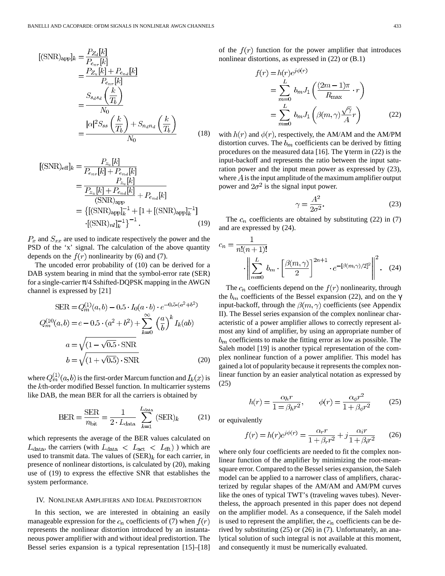$$
[(SNR)_{app}]_k = \frac{P_{Z_d}[k]}{P_{e_{nr}}[k]}
$$
  
= 
$$
\frac{P_{Z_u}[k] + P_{e_{nd}}[k]}{P_{e_{nr}}[k]}
$$
  
= 
$$
\frac{S_{s_d s_d} \left(\frac{k}{T_b}\right)}{N_0}
$$
  
= 
$$
\frac{|\alpha|^2 S_{ss} \left(\frac{k}{T_b}\right) + S_{n_d n_d} \left(\frac{k}{T_b}\right)}{N_0}
$$
 (18)

$$
[(SNR)_{\text{eff}}]_k = \frac{P_{z_u}[k]}{P_{e_{nr}}[k] + P_{e_{nd}}[k]}
$$
  
= 
$$
\frac{P_{z_u}[k]}{P_{z_u}[k] + P_{e_{nd}}[k]} + P_{e_{nd}}[k]
$$
  
= { [(SNR)\_{\text{app}}]\_k^{-1} + [1 + [(SNR)\_{\text{app}}]\_k^{-1}]}  
 \cdot [(SNR)\_{nl}]\_k^{-1} }^{-1}. \qquad (19)

 $P_x$  and  $S_{xx}$  are used to indicate respectively the power and the PSD of the 'x' signal. The calculation of the above quantity depends on the  $f(r)$  nonlinearity by (6) and (7).

The uncoded error probability of (10) can be derived for a DAB system bearing in mind that the symbol-error rate (SER) for a single-carrier  $\pi/4$  Sshifted-DQPSK mapping in the AWGN channel is expressed by [21]

$$
SER = Q_m^{(1)}(a, b) - 0.5 \cdot I_0(a \cdot b) \cdot e^{-0.5 \cdot (a^2 + b^2)}
$$

$$
Q_m^{(10)}(a, b) = e - 0.5 \cdot (a^2 + b^2) + \sum_{k=0}^{\infty} \left(\frac{a}{b}\right)^k I_k(ab)
$$

$$
a = \sqrt{(1 - \sqrt{0.5} \cdot \text{SNR})}
$$

$$
b = \sqrt{(1 + \sqrt{0.5}) \cdot \text{SNR}}
$$
(20)

where  $Q_m^{(1)}(a, b)$  is the first-order Marcum function and  $I_k(x)$  is the kth-order modified Bessel function. In multicarrier systems like DAB, the mean BER for all the carriers is obtained by

$$
BER = \frac{SER}{n_{\text{bit}}} = \frac{1}{2 \cdot L_{\text{data}}} \sum_{k=1}^{L_{\text{data}}} (SER)_k \tag{21}
$$

which represents the average of the BER values calculated on  $L_{\text{data}}$ , the carriers (with  $L_{\text{data}} \langle L_{\text{act}} \rangle$  / which are used to transmit data. The values of  $(SER)_k$  for each carrier, in presence of nonlinear distortions, is calculated by (20), making use of (19) to express the effective SNR that establishes the system performance.

## IV. NONLINEAR AMPLIFIERS AND IDEAL PREDISTORTION

In this section, we are interested in obtaining an easily manageable expression for the  $c_n$  coefficients of (7) when  $f(r)$ represents the nonlinear distortion introduced by an instantaneous power amplifier with and without ideal predistortion. The Bessel series expansion is a typical representation [15]–[18] of the  $f(r)$  function for the power amplifier that introduces nonlinear distortions, as expressed in (22) or (B.1)

$$
f(r) = h(r)e^{j\phi(r)}
$$
  
= 
$$
\sum_{m=0}^{L} b_m J_1 \left( \frac{(2m-1)\pi}{R_{\text{max}}} \cdot r \right)
$$
  
= 
$$
\sum_{m=0}^{L} b_m J_1 \left( \beta(m,\gamma) \frac{\sqrt{\gamma}}{A} r \right)
$$
(22)

with  $h(r)$  and  $\phi(r)$ , respectively, the AM/AM and the AM/PM distortion curves. The  $b_m$  coefficients can be derived by fitting procedures on the measured data [16]. The  $\gamma$  term in (22) is the input-backoff and represents the ratio between the input saturation power and the input mean power as expressed by (23), where  $\vec{A}$  is the input amplitude of the maximum amplifier output power and  $2\sigma^2$  is the signal input power.

$$
\gamma = \frac{A^2}{2\sigma^2}.\tag{23}
$$

The  $c_n$  coefficients are obtained by substituting (22) in (7) and are expressed by (24).

$$
c_n = \frac{1}{n!(n+1)!}
$$

$$
\left\| \sum_{m=0}^{L} b_m \cdot \left[ \frac{\beta(m,\gamma)}{2} \right]^{2n+1} \cdot e^{-[\beta(m,\gamma)/2]^2} \right\|^2.
$$
 (24)

The  $c_n$  coefficients depend on the  $f(r)$  nonlinearity, through the  $b_m$  coefficients of the Bessel expansion (22), and on the  $\gamma$ input-backoff, through the  $\beta(m, \gamma)$  coefficients (see Appendix II). The Bessel series expansion of the complex nonlinear characteristic of a power amplifier allows to correctly represent almost any kind of amplifier, by using an appropriate number of  $b<sub>m</sub>$  coefficients to make the fitting error as low as possible. The Saleh model [19] is another typical representation of the complex nonlinear function of a power amplifier. This model has gained a lot of popularity because it represents the complex nonlinear function by an easier analytical notation as expressed by (25)

$$
h(r) = \frac{\alpha_h r}{1 = \beta_h r^2}, \qquad \phi(r) = \frac{\alpha_\phi r^2}{1 + \beta_\phi r^2} \tag{25}
$$

or equivalently

$$
f(r) = h(r)e^{j\phi(r)} = \frac{\alpha_r r}{1 + \beta_r r^2} + j\frac{\alpha_i r}{1 + \beta_i r^2}
$$
 (26)

where only four coefficients are needed to fit the complex nonlinear function of the amplifier by minimizing the root-meansquare error. Compared to the Bessel series expansion, the Saleh model can be applied to a narrower class of amplifiers, characterized by regular shapes of the AM/AM and AM/PM curves like the ones of typical TWT's (traveling waves tubes). Nevertheless, the approach presented in this paper does not depend on the amplifier model. As a consequence, if the Saleh model is used to represent the amplifier, the  $c_n$  coefficients can be derived by substituting (25) or (26) in (7). Unfortunately, an analytical solution of such integral is not available at this moment, and consequently it must be numerically evaluated.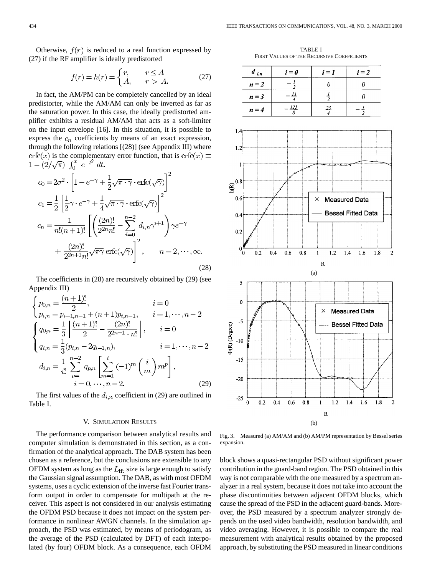Otherwise,  $f(r)$  is reduced to a real function expressed by (27) if the RF amplifier is ideally predistorted

$$
f(r) = h(r) = \begin{cases} r, & r \le A \\ A, & r > A. \end{cases}
$$
 (27)

In fact, the AM/PM can be completely cancelled by an ideal predistorter, while the AM/AM can only be inverted as far as the saturation power. In this case, the ideally predistorted amplifier exhibits a residual AM/AM that acts as a soft-limiter on the input envelope [16]. In this situation, it is possible to express the  $c_n$  coefficients by means of an exact expression, through the following relations [(28)] (see Appendix III) where erfc(x) is the complementary error function, that is erfc(x)  $\equiv 1 - (2/\sqrt{\pi}) \int_0^x e^{-t^2} dt$ .

$$
c_0 = 2\sigma^2 \cdot \left[ 1 - e^{-\gamma} + \frac{1}{2}\sqrt{\pi \cdot \gamma} \cdot \text{erfc}(\sqrt{\gamma}) \right]^2
$$
  
\n
$$
c_1 = \frac{1}{2} \left[ \frac{1}{2}\gamma \cdot e^{-\gamma} + \frac{1}{4}\sqrt{\pi \cdot \gamma} \cdot \text{erfc}(\sqrt{\gamma}) \right]^2
$$
  
\n
$$
c_n = \frac{1}{n!(n+1)!} \left[ \left( \frac{(2n)!}{2^{2n}n!} - \sum_{i=0}^{n-2} d_{i,n} \gamma^{i+1} \right) \gamma e^{-\gamma} + \frac{(2n)!}{2^{2n+1}n!} \sqrt{\pi \gamma} \text{erfc}(\sqrt{\gamma}) \right]^2, \qquad n = 2, \dots, \infty.
$$
  
\n(28)

The coefficients in (28) are recursively obtained by (29) (see Appendix III)

$$
\begin{cases}\np_{0,n} = \frac{(n+1)!}{2}, & i = 0 \\
p_{i,n} = p_{i-1,n-1} + (n+1)p_{i,n-1}, & i = 1, \dots, n-2\n\end{cases}
$$
\n
$$
\begin{cases}\nq_{0,n} = \frac{1}{3} \left[ \frac{(n+1)!}{2} - \frac{(2n)!}{2^{2n-1} \cdot n!} \right], & i = 0 \\
q_{i,n} = \frac{1}{3} (p_{i,n} - 2q_{i-1,n}), & i = 1, \dots, n-2\n\end{cases}
$$
\n
$$
d_{i,n} = \frac{1}{i!} \sum_{p=1}^{n-2} q_{p,n} \left[ \sum_{m=1}^{i} (-1)^m \binom{i}{m} m^p \right],
$$
\n
$$
i = 0, \dots, n-2.
$$
\n(29)

The first values of the  $d_{i,n}$  coefficient in (29) are outlined in Table I.

## V. SIMULATION RESULTS

The performance comparison between analytical results and computer simulation is demonstrated in this section, as a confirmation of the analytical approach. The DAB system has been chosen as a reference, but the conclusions are extensible to any OFDM system as long as the  $L_{\text{fft}}$  size is large enough to satisfy the Gaussian signal assumption. The DAB, as with most OFDM systems, uses a cyclic extension of the inverse fast Fourier transform output in order to compensate for multipath at the receiver. This aspect is not considered in our analysis estimating the OFDM PSD because it does not impact on the system performance in nonlinear AWGN channels. In the simulation approach, the PSD was estimated, by means of periodogram, as the average of the PSD (calculated by DFT) of each interpolated (by four) OFDM block. As a consequence, each OFDM

TABLE I FIRST VALUES OF THE RECURSIVE COEFFICIENTS



Fig. 3. Measured (a) AM/AM and (b) AM/PM representation by Bessel series expansion.

block shows a quasi-rectangular PSD without significant power contribution in the guard-band region. The PSD obtained in this way is not comparable with the one measured by a spectrum analyzer in a real system, because it does not take into account the phase discontinuities between adjacent OFDM blocks, which cause the spread of the PSD in the adjacent guard-bands. Moreover, the PSD measured by a spectrum analyzer strongly depends on the used video bandwidth, resolution bandwidth, and video averaging. However, it is possible to compare the real measurement with analytical results obtained by the proposed approach, by substituting the PSD measured in linear conditions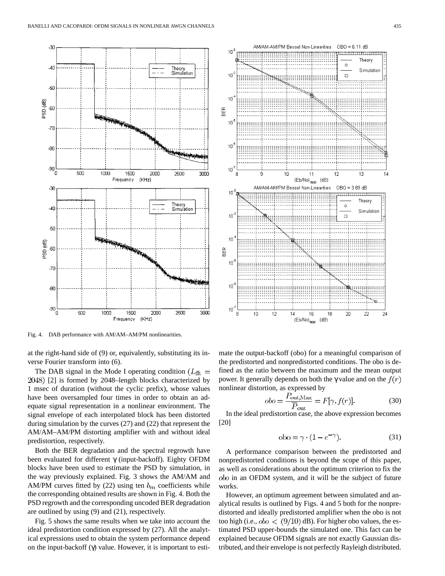

Fig. 4. DAB performance with AM/AM–AM/PM nonlinearities.

at the right-hand side of (9) or, equivalently, substituting its inverse Fourier transform into (6).

The DAB signal in the Mode I operating condition ( $L_{\text{fft}} =$ [2] is formed by 2048–length blocks characterized by 1 msec of duration (without the cyclic prefix), whose values have been oversampled four times in order to obtain an adequate signal representation in a nonlinear environment. The signal envelope of each interpolated block has been distorted during simulation by the curves (27) and (22) that represent the AM/AM–AM/PM distorting amplifier with and without ideal predistortion, respectively.

Both the BER degradation and the spectral regrowth have been evaluated for different γ (input-backoff). Eighty OFDM blocks have been used to estimate the PSD by simulation, in the way previously explained. Fig. 3 shows the AM/AM and AM/PM curves fitted by (22) using ten  $b_m$  coefficients while the corresponding obtained results are shown in Fig. 4. Both the PSD regrowth and the corresponding uncoded BER degradation are outlined by using (9) and (21), respectively.

Fig. 5 shows the same results when we take into account the ideal predistortion condition expressed by (27). All the analytical expressions used to obtain the system performance depend on the input-backoff  $(\gamma)$  value. However, it is important to esti-



mate the output-backoff (obo) for a meaningful comparison of the predistorted and nonpredistorted conditions. The obo is defined as the ratio between the maximum and the mean output power. It generally depends on both the γ value and on the  $f(r)$ nonlinear distortion, as expressed by

$$
obo = \frac{P_{\text{out,Max}}}{\overline{P}_{\text{out}}} = F[\gamma, f(r)].
$$
\n(30)

In the ideal predistortion case, the above expression becomes [20]

$$
obo = \gamma \cdot (1 - e^{-\gamma}). \tag{31}
$$

A performance comparison between the predistorted and nonpredistorted conditions is beyond the scope of this paper, as well as considerations about the optimum criterion to fix the  $obo$  in an OFDM system, and it will be the subject of future works.

However, an optimum agreement between simulated and analytical results is outlined by Figs. 4 and 5 both for the nonpredistorted and ideally predistorted amplifier when the obo is not too high (i.e.,  $obo < (9/10)$  dB). For higher obo values, the estimated PSD upper-bounds the simulated one. This fact can be explained because OFDM signals are not exactly Gaussian distributed, and their envelope is not perfectly Rayleigh distributed.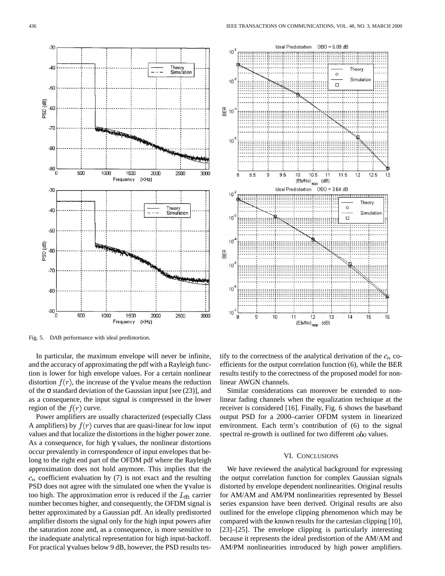



Fig. 5. DAB performance with ideal predistortion.

In particular, the maximum envelope will never be infinite, and the accuracy of approximating the pdf with a Rayleigh function is lower for high envelope values. For a certain nonlinear distortion  $f(r)$ , the increase of the γ value means the reduction of the  $\sigma$  standard deviation of the Gaussian input [see (23)], and as a consequence, the input signal is compressed in the lower region of the  $f(r)$  curve.

Power amplifiers are usually characterized (especially Class A amplifiers) by  $f(r)$  curves that are quasi-linear for low input values and that localize the distortions in the higher power zone. As a consequence, for high  $\gamma$  values, the nonlinear distortions occur prevalently in correspondence of input envelopes that belong to the right end part of the OFDM pdf where the Rayleigh approximation does not hold anymore. This implies that the  $c_n$  coefficient evaluation by (7) is not exact and the resulting PSD does not agree with the simulated one when the  $\gamma$  value is too high. The approximation error is reduced if the  $L_{\text{fft}}$  carrier number becomes higher, and consequently, the OFDM signal is better approximated by a Gaussian pdf. An ideally predistorted amplifier distorts the signal only for the high input powers after the saturation zone and, as a consequence, is more sensitive to the inadequate analytical representation for high input-backoff. For practical γ values below 9 dB, however, the PSD results testify to the correctness of the analytical derivation of the  $c_n$  coefficients for the output correlation function (6), while the BER results testify to the correctness of the proposed model for nonlinear AWGN channels.

Similar considerations can moreover be extended to nonlinear fading channels when the equalization technique at the receiver is considered [16]. Finally, Fig. 6 shows the baseband output PSD for a 2000–carrier OFDM system in linearized environment. Each term's contribution of (6) to the signal spectral re-growth is outlined for two different *obo* values.

## VI. CONCLUSIONS

We have reviewed the analytical background for expressing the output correlation function for complex Gaussian signals distorted by envelope dependent nonlinearities. Original results for AM/AM and AM/PM nonlinearities represented by Bessel series expansion have been derived. Original results are also outlined for the envelope clipping phenomenon which may be compared with the known results for the cartesian clipping [10], [23]–[25]. The envelope clipping is particularly interesting because it represents the ideal predistortion of the AM/AM and AM/PM nonlinearities introduced by high power amplifiers.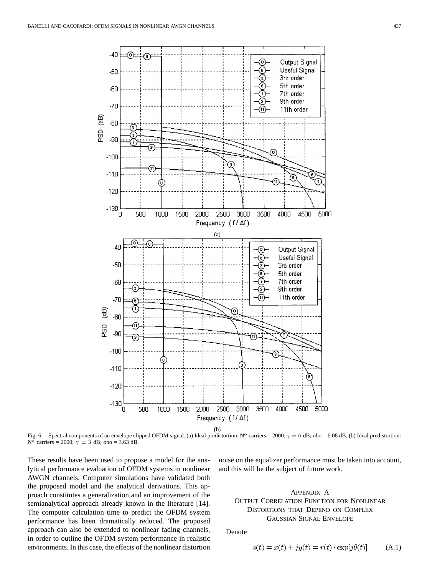

Fig. 6. Spectral components of an envelope clipped OFDM signal. (a) Ideal predistortion: N° carriers = 2000;  $\gamma = 6$  dB; obo = 6.08 dB. (b) Ideal predistortion:  $N^{\circ}$  carriers = 2000;  $\gamma = 3$  dB; obo = 3.63 dB.

These results have been used to propose a model for the analytical performance evaluation of OFDM systems in nonlinear AWGN channels. Computer simulations have validated both the proposed model and the analytical derivations. This approach constitutes a generalization and an improvement of the semianalytical approach already known in the literature [14]. The computer calculation time to predict the OFDM system performance has been dramatically reduced. The proposed approach can also be extended to nonlinear fading channels, in order to outline the OFDM system performance in realistic environments. In this case, the effects of the nonlinear distortion

noise on the equalizer performance must be taken into account, and this will be the subject of future work.

# APPENDIX A OUTPUT CORRELATION FUNCTION FOR NONLINEAR DISTORTIONS THAT DEPEND ON COMPLEX GAUSSIAN SIGNAL ENVELOPE

Denote

ś

$$
s(t) = x(t) + jy(t) = r(t) \cdot \exp[j\theta(t)] \quad (A.1)
$$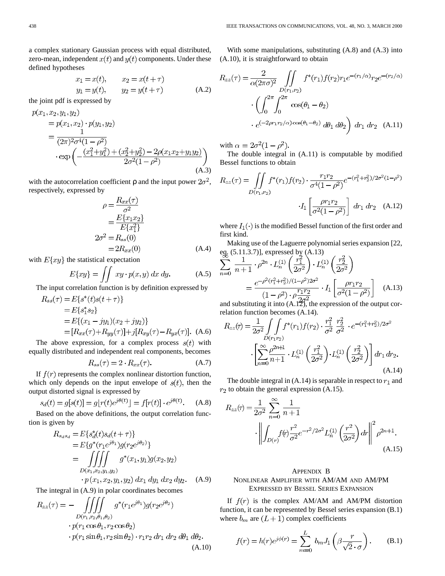a complex stationary Gaussian process with equal distributed, zero-mean, independent  $x(t)$  and  $y(t)$  components. Under these defined hypotheses

$$
x_1 = x(t),
$$
  $x_2 = x(t + \tau)$   
\n $y_1 = y(t),$   $y_2 = y(t + \tau)$  (A.2)

the joint pdf is expressed by

$$
p(x_1, x_2, y_1, y_2)
$$
  
=  $p(x_1, x_2) \cdot p(y_1, y_2)$   
=  $\frac{1}{(2\pi)^2 \sigma^4 (1 - \rho^2)}$   
 $\cdot \exp\left(-\frac{(x_1^2 + y_1^2) + (x_2^2 + y_2^2) - 2\rho(x_1 x_2 + y_1 y_2)}{2\sigma^2 (1 - \rho^2)}\right)$   
(A.3)

with the autocorrelation coefficient  $\rho$  and the input power  $2\sigma^2$ , respectively, expressed by

$$
\rho = \frac{R_{xx}(\tau)}{\sigma^2}
$$
  
= 
$$
\frac{E\{x_1 x_2\}}{E\{x_1^2\}}
$$
  

$$
2\sigma^2 = R_{ss}(0)
$$
  
= 
$$
2R_{xx}(0)
$$
 (A.4)

with  $E\{xy\}$  the statistical expectation

$$
E\{xy\} = \iint xy \cdot p(x, y) dx dy.
$$
 (A.5)

The input correlation function is by definition expressed by

$$
R_{ss}(\tau) = E\{s^*(t)s(t+\tau)\}
$$
  
=  $E\{s_1^*s_2\}$   
=  $E\{(x_1 - jy_1)(x_2 + jy_2)\}$   
=  $[R_{xx}(\tau) + R_{yy}(\tau)] + j[R_{xy}(\tau) - R_{yx}(\tau)].$  (A.6)

The above expression, for a complex process  $s(t)$  with equally distributed and independent real components, becomes

$$
R_{ss}(\tau) = 2 \cdot R_{xx}(\tau). \tag{A.7}
$$

If  $f(r)$  represents the complex nonlinear distortion function, which only depends on the input envelope of  $s(t)$ , then the output distorted signal is expressed by

$$
s_d(t) = g[s(t)] = g[r(t)e^{j\theta(t)}] = f[r(t)] \cdot e^{j\theta(t)}.
$$
 (A.8)

Based on the above definitions, the output correlation function is given by

$$
R_{s_d s_d} = E\{s_d^*(t)s_d(t+\tau)\}\
$$
  
=  $E\{g^*(r_1e^{j\theta_1})g(r_2e^{j\theta_2})\}\$   
=  $\iiint_{D(x_1,x_2,y_1,y_2)} g^*(x_1,y_1)g(x_2,y_2)$   
 $\cdot p(x_1,x_2,y_1,y_2) dx_1 dy_1 dx_2 dy_2.$  (A.9)

The integral in (A.9) in polar coordinates becomes

$$
R_{zz}(\tau) = - \iiint_{D(r_1, r_2, \theta_1, \theta_2)} g^*(r_1 e^{j\theta_1}) g(r_2 e^{j\theta_2})
$$

$$
\cdot p(r_1 \cos \theta_1, r_2 \cos \theta_2)
$$

$$
\cdot p(r_1 \sin \theta_1, r_2 \sin \theta_2) \cdot r_1 r_2 dr_1 dr_2 d\theta_1 d\theta_2.
$$
(A.10)

With some manipulations, substituting (A.8) and (A.3) into (A.10), it is straightforward to obtain

$$
R_{zz}(\tau) = \frac{2}{\alpha (2\pi\sigma)^2} \iint_{D(r_1, r_2)} f^*(r_1) f(r_2) r_1 e^{-(r_1/\alpha)} r_2 e^{-(r_2/\alpha)}
$$

$$
\cdot \left( \int_0^{2\pi} \int_0^{2\pi} \cos(\theta_1 - \theta_2) \right. \\ \cdot e^{(-2\rho r_1 r_2/\alpha) \cos(\theta_1 - \theta_2)} d\theta_1 d\theta_2 \right) dr_1 dr_2 \quad (A.11)
$$

with  $\alpha = 2\sigma^2(1-\rho^2)$ .

The double integral in (A.11) is computable by modified Bessel functions to obtain

$$
R_{zz}(\tau) = \iint_{D(r_1, r_2)} f^*(r_1) f(r_2) \cdot \frac{r_1 r_2}{\sigma^4 (1 - \rho^2)} e^{-(r_1^2 + r_2^2)/2\sigma^2 (1 - \rho^2)}
$$

$$
\cdot I_1 \left[ \frac{\rho r_1 r_2}{\sigma^2 (1 - \rho^2)} \right] dr_1 dr_2 \quad (A.12)
$$

where  $I_1(\cdot)$  is the modified Bessel function of the first order and first kind.

Making use of the Laguerre polynomial series expansion [22, eq. (5.11.3.7)], expressed by (A.13)  $\mathbb{R}^2$  and

$$
\sum_{n=0}^{\infty} \frac{1}{n+1} \cdot \rho^{2n} \cdot L_n^{(1)} \left( \frac{r_1^2}{2\sigma^2} \right) \cdot L_n^{(1)} \left( \frac{r_2^2}{2\sigma^2} \right)
$$
\n
$$
= \frac{e^{-\rho^2 (r_1^2 + r_2^2)/(1 - \rho^2) 2\sigma^2}}{(1 - \rho^2) \cdot \rho \frac{r_1 r_2}{2\sigma^2}} \cdot I_1 \left[ \frac{\rho r_1 r_2}{\sigma^2 (1 - \rho^2)} \right] \quad (A.13)
$$

and substituting it into  $(A.12)$ , the expression of the output correlation function becomes (A.14).

$$
R_{zz}(\tau) = \frac{1}{2\sigma^2} \int \int f^*(r_1) f(r_2) \cdot \frac{r_1^2}{\sigma^2} \frac{r_2^2}{\sigma^2} \cdot e^{-(r_1^2 + r_2^2)/2\sigma^2} \n\cdot \left[ \sum_{n=0}^{\infty} \frac{\rho^{2n+1}}{n+1} \cdot L_n^{(1)} \left( \frac{r_1^2}{2\sigma^2} \right) \cdot L_n^{(1)} \left( \frac{r_2^2}{2\sigma^2} \right) \right] dr_1 dr_2.
$$
\n(A.14)

The double integral in  $(A.14)$  is separable in respect to  $r_1$  and  $r_2$  to obtain the general expression (A.15).

$$
R_{zz}(\tau) = \frac{1}{2\sigma^2} \sum_{n=0}^{\infty} \frac{1}{n+1}
$$

$$
\cdot \left\| \int_{D(r)} f(r) \frac{r^2}{\sigma^2} e^{-r^2/2\sigma^2} L_n^{(1)}\left(\frac{r^2}{2\sigma^2}\right) dr \right\|^2 \rho^{2n+1}.
$$
(A.15)

## APPENDIX B NONLINEAR AMPLIFIER WITH AM/AM AND AM/PM EXPRESSED BY BESSEL SERIES EXPANSION

If  $f(r)$  is the complex AM/AM and AM/PM distortion function, it can be represented by Bessel series expansion (B.1) where  $b_m$  are  $(L+1)$  complex coefficients

$$
f(r) = h(r)e^{j\phi(r)} = \sum_{m=0}^{L} b_m J_1\left(\beta \frac{r}{\sqrt{2} \cdot \sigma}\right).
$$
 (B.1)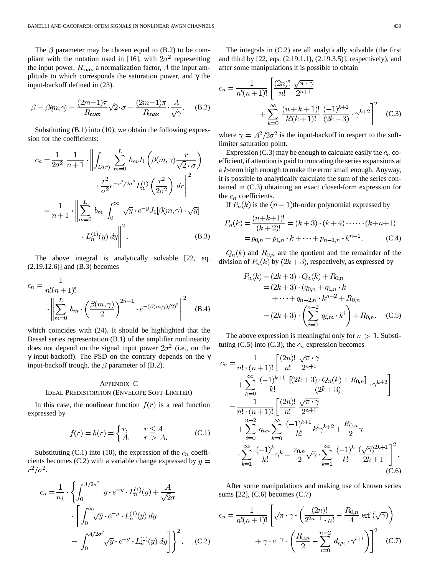The  $\beta$  parameter may be chosen equal to (B.2) to be compliant with the notation used in [16], with  $2\sigma^2$  representing the input power,  $R_{\text{max}}$  a normalization factor,  $A$  the input amplitude to which corresponds the saturation power, and  $\gamma$  the input-backoff defined in (23).

$$
\beta = \beta(m, \gamma) = \frac{(2m-1)\pi}{R_{\text{max}}} \sqrt{2} \cdot \sigma = \frac{(2m-1)\pi}{R_{\text{max}}} \cdot \frac{A}{\sqrt{\gamma}}.
$$
 (B.2)

Substituting  $(B.1)$  into  $(10)$ , we obtain the following expression for the coefficients:

$$
c_n = \frac{1}{2\sigma^2} \frac{1}{n+1} \cdot \left\| \int_{D(r)} \sum_{m=0}^{L} b_m J_1 \left( \beta(m, \gamma) \frac{r}{\sqrt{2} \cdot \sigma} \right) \right\|_{\mathcal{L}^2(\mathcal{D})} \cdot \frac{r^2}{\sigma^2} e^{-r^2/2\sigma^2} L_n^{(1)} \left( \frac{r^2}{2\sigma^2} \right) dr \right\|^2
$$

$$
= \frac{1}{n+1} \cdot \left\| \sum_{m=0}^{L} b_m \int_0^\infty \sqrt{y} \cdot e^{-y} J_1[\beta(m, \gamma) \cdot \sqrt{y}] \right\|^2 \cdot L_n^{(1)}(y) dy \right\|^2. \tag{B.3}
$$

The above integral is analytically solvable [22, eq. (2.19.12.6)] and (B.3) becomes

$$
c_n = \frac{1}{n!(n+1)!}
$$

$$
\cdot \left\| \sum_{m=0}^{L} b_m \cdot \left( \frac{\beta(m,\gamma)}{2} \right)^{2n+1} \cdot e^{-(\beta(m,\gamma)/2)^2} \right\|^2 \quad (B.4)
$$

which coincides with (24). It should be highlighted that the Bessel series representation (B.1) of the amplifier nonlinearity does not depend on the signal input power  $2\sigma^2$  (i.e., on the γ input-backoff). The PSD on the contrary depends on the γ input-backoff trough, the  $\beta$  parameter of (B.2).

# APPENDIX C IDEAL PREDISTORTION (ENVELOPE SOFT-LIMITER)

In this case, the nonlinear function  $f(r)$  is a real function expressed by

$$
f(r) = h(r) = \begin{cases} r, & r \le A \\ A, & r > A. \end{cases}
$$
 (C.1)

Substituting (C.1) into (10), the expression of the  $c_n$  coefficients becomes (C.2) with a variable change expressed by  $y =$  $r^2/\sigma^2$ .

$$
c_n = \frac{1}{n_1} \cdot \left\{ \int_0^{A/2\sigma^2} y \cdot e^{-y} \cdot L_n^{(1)}(y) + \frac{A}{\sqrt{2}\sigma} \cdot \left[ \int_0^{\infty} \sqrt{y} \cdot e^{-y} \cdot L_n^{(1)}(y) \, dy - \int_0^{A/2\sigma^2} \sqrt{y} \cdot e^{-y} \cdot L_n^{(1)}(y) \, dy \right] \right\}^2. \quad (C.2)
$$

The integrals in (C.2) are all analytically solvable (the first and third by [22, eqs. (2.19.1.1), (2.19.3.5)], respectively), and after some manipulations it is possible to obtain

$$
c_n = \frac{1}{n!(n+1)!} \left[ \frac{(2n)!}{n!} \frac{\sqrt{\pi \cdot \gamma}}{2^{n+1}} + \sum_{k=0}^{\infty} \frac{(n+k+1)!}{k!(k+1)!} \frac{(-1)^{k+1}}{(2k+3)} \cdot \gamma^{k+2} \right]^2
$$
 (C.3)

where  $\gamma = A^2/2\sigma^2$  is the input-backoff in respect to the softlimiter saturation point.

Expression (C.3) may be enough to calculate easily the  $c_n$  coefficient, if attention is paid to truncating the series expansions at a  $k$ -term high enough to make the error small enough. Anyway, it is possible to analytically calculate the sum of the series contained in (C.3) obtaining an exact closed-form expression for the  $c_n$  coefficients.

If  $P_n(k)$  is the  $(n-1)$ th-order polynomial expressed by

$$
P_n(k) = \frac{(n+k+1)!}{(k+2)!} = (k+3) \cdot (k+4) \cdot \dots \cdot (k+n+1)
$$

$$
= p_{0,n} + p_{1,n} \cdot k + \dots + p_{n-1,n} \cdot k^{n-1}.
$$
 (C.4)

 $Q_n(k)$  and  $R_{0,n}$  are the quotient and the remainder of the division of  $P_n(k)$  by  $(2k+3)$ , respectively, as expressed by

$$
P_n(k) = (2k+3) \cdot Q_n(k) + R_{0,n}
$$
  
= (2k+3) \cdot (q\_{0,n} + q\_{1,n} \cdot k  
+ \cdots + q\_{n-2,n} \cdot k^{n-2} + R\_{0,n}  
= (2k+3) \cdot \left(\sum\_{i=0}^{n-2} q\_{i,m} \cdot k^i\right) + R\_{0,n}. (C.5)

The above expression is meaningful only for  $n > 1$ . Substituting (C.5) into (C.3), the  $c_n$  expression becomes

$$
c_n = \frac{1}{n! \cdot (n+1)!} \left[ \frac{(2n)!}{n!} \frac{\sqrt{\pi} \cdot \gamma}{2^{n+1}} + \sum_{k=0}^{\infty} \frac{(-1)^{k+1}}{k!} \frac{[(2k+3) \cdot Q_n(k) + R_{0,n}]}{(2k+3)} \cdot \gamma^{k+2} \right]
$$
  

$$
= \frac{1}{n! \cdot (n+1)!} \left[ \frac{(2n)!}{n!} \frac{\sqrt{\pi} \cdot \gamma}{2^{n+1}} + \sum_{i=0}^{n-2} q_{i,n} \sum_{k=0}^{\infty} \frac{(-1)^{k+1}}{k!} k^i \gamma^{k+2} + \frac{R_{0,n}}{2} \gamma
$$
  

$$
\cdot \sum_{k=1}^{\infty} \frac{(-1)^k}{k!} \gamma^k - \frac{r_{0,n}}{2} \sqrt{\gamma} \cdot \sum_{k=1}^{\infty} \frac{(-1)^k}{k!} \frac{(\sqrt{\gamma})^{2k+1}}{2k+1} \right]^2.
$$
(C.6)

After some manipulations and making use of known series sums [22], (C.6) becomes (C.7)

$$
c_n = \frac{1}{n!(n+1)!} \left[ \sqrt{\pi \cdot \gamma} \cdot \left( \frac{(2n)!}{2^{2n+1} \cdot n!} - \frac{R_{0,n}}{4} \operatorname{erf} (\sqrt{\gamma}) \right) + \gamma \cdot e^{-\gamma} \cdot \left( \frac{R_{0,n}}{2} - \sum_{i=0}^{n-2} d_{i,n} \cdot \gamma^{i+1} \right) \right]^2 \quad \text{(C.7)}
$$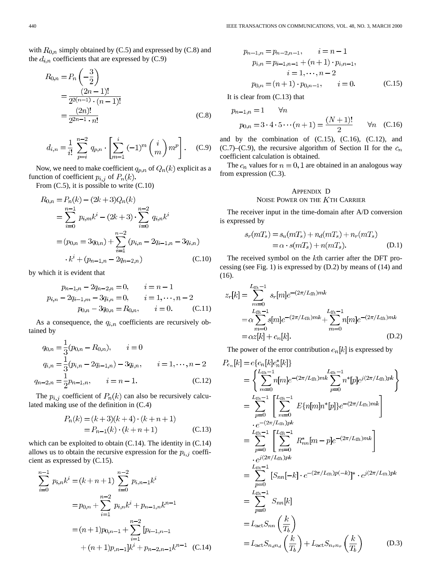with  $R_{0,n}$  simply obtained by (C.5) and expressed by (C.8) and the  $d_{i,n}$  coefficients that are expressed by (C.9)

$$
R_{0,n} = P_n \left(-\frac{3}{2}\right)
$$
  
=  $\frac{(2n-1)!}{2^{2(n-1)} \cdot (n-1)!}$   
=  $\frac{(2n)!}{2^{2n-1} \cdot n!}$  (C.8)

$$
d_{i,n} = \frac{1}{i!} \sum_{p=i}^{n-2} q_{p,n} \cdot \left[ \sum_{m=1}^{i} (-1)^m \binom{i}{m} m^p \right].
$$
 (C.9)

Now, we need to make coefficient  $q_{p,n}$  of  $Q_n(k)$  explicit as a function of coefficient  $p_{i,j}$  of  $P_n(k)$ .

From (C.5), it is possible to write (C.10)

$$
R_{0,n} = P_n(k) - (2k+3)Q_n(k)
$$
  
= 
$$
\sum_{i=0}^{n-1} p_{i,m}k^i - (2k+3) \cdot \sum_{i=0}^{n-2} q_{i,n}k^i
$$
  
= 
$$
(p_{0,n} = 3q_{0,n}) + \sum_{i=1}^{n-2} (p_{i,n} - 2q_{i-1,n} - 3q_{i,n})
$$
  

$$
\cdot k^i + (p_{n-1,n} - 2q_{n-2,n})
$$
 (C.10)

by which it is evident that

$$
p_{n-1,n} - 2q_{n-2,n} = 0, \t i = n - 1
$$
  

$$
p_{i,n} - 2q_{i-1,m} - 3q_{i,n} = 0, \t i = 1, \dots, n - 2
$$
  

$$
p_{0,n} - 3q_{0,n} = R_{0,n}, \t i = 0.
$$
 (C.11)

As a consequence, the  $q_{i,n}$  coefficients are recursively obtained by

$$
q_{0,n} = \frac{1}{3}(p_{0,n} - R_{0,n}), \qquad i = 0
$$
  
\n
$$
q_{i,n} = \frac{1}{3}(p_{i,n} - 2q_{i-1,n}) - 3q_{i,n}, \qquad i = 1, \dots, n-2
$$
  
\n
$$
q_{n-2,n} = \frac{1}{2}p_{n-1,n}, \qquad i = n-1.
$$
\n(C.12)

The  $p_{i,j}$  coefficient of  $P_n(k)$  can also be recursively calculated making use of the definition in (C.4)

$$
P_n(k) = (k+3)(k+4) \cdot (k+n+1)
$$
  
=  $P_{n-1}(k) \cdot (k+n+1)$  (C.13)

which can be exploited to obtain (C.14). The identity in (C.14) allows us to obtain the recursive expression for the  $p_{i,j}$  coefficient as expressed by (C.15).

$$
\sum_{i=0}^{n-1} p_{i,n}k^{i} = (k+n+1) \sum_{i=0}^{n-2} p_{i,n-1}k^{i}
$$
  
=  $p_{0,n} + \sum_{i=1}^{n-2} p_{i,n}k^{i} + p_{n-1,n}k^{n-1}$   
=  $(n+1)p_{0,n-1} + \sum_{i=1}^{n-2} [p_{i-1,n-1} + (n+1)p_{n-1}]k^{i} + p_{n-2,n-1}k^{n-1}$  (C.14)

$$
p_{n-1,n} = p_{n-2,n-1}, \t i = n-1
$$
  
\n
$$
p_{i,n} = p_{i-1,n-1} + (n+1) \cdot p_{i,n-1},
$$
  
\n
$$
i = 1, \dots, n-2
$$
  
\n
$$
p_{0,n} = (n+1) \cdot p_{0,n-1}, \t i = 0.
$$
 (C.15)

It is clear from (C.13) that

$$
p_{n-1,n} = 1 \quad \forall n
$$
  

$$
p_{0,n} = 3 \cdot 4 \cdot 5 \cdots (n+1) = \frac{(N+1)!}{2} \quad \forall n \quad (C.16)
$$

and by the combination of  $(C.15)$ ,  $(C.16)$ ,  $(C.12)$ , and  $(C.7)$ – $(C.9)$ , the recursive algorithm of Section II for the  $c_n$ coefficient calculation is obtained.

The  $c_n$  values for  $n = 0, 1$  are obtained in an analogous way from expression (C.3).

# APPENDIX D NOISE POWER ON THE  $K$ TH CARRIER

The receiver input in the time-domain after A/D conversion is expressed by

$$
s_r(mT_s) = s_u(mT_s) + n_d(mT_s) + n_r(mT_s)
$$
  
=  $\alpha \cdot s(mT_s) + n(mT_s)$ . (D.1)

The received symbol on the k<sup>th</sup> carrier after the DFT processing (see Fig. 1) is expressed by (D.2) by means of (14) and (16).

$$
z_r[k] = \sum_{m=0}^{L_{\text{fft}}-1} s_r[m]e^{-(2\pi/L_{\text{fft}})mk}
$$
  
=  $\alpha \sum_{m=0}^{L_{\text{fft}}-1} s[m]e^{-(2\pi/L_{\text{fft}})mk} + \sum_{m=0}^{L_{\text{fft}}-1} n[m]e^{-(2\pi/L_{\text{fft}})mk}$   
=  $\alpha z[k] + e_n[k].$  (D.2)

The power of the error contribution  $e_n[k]$  is expressed by

$$
P_{e_n}[k] = e\{e_n[k]e_n^*[k]\}
$$
  
\n
$$
= \left\{\sum_{m=0}^{L_{\text{fft}}-1} n[m]e^{-(2\pi/L_{\text{fft}})mk} \sum_{p=0}^{L_{\text{fft}}-1} n^*[p]e^{j(2\pi/L_{\text{fft}})pk} \right\}
$$
  
\n
$$
= \sum_{p=0}^{L_{\text{fft}}-1} \left[\sum_{m=0}^{L_{\text{fft}}-1} E\{n[m]n^*[p]\}e^{-(2\pi/L_{\text{fft}})mk} \right]
$$
  
\n
$$
\cdot e^{-(2\pi/L_{\text{fft}})pk}
$$
  
\n
$$
= \sum_{p=0}^{L_{\text{fft}}-1} \left[\sum_{m=0}^{L_{\text{fft}}-1} R_{nn}^*[m-p]e^{-(2\pi/L_{\text{fft}})mk} \right]
$$
  
\n
$$
\cdot e^{j(2\pi/L_{\text{fft}})pk}
$$
  
\n
$$
= \sum_{p=0}^{L_{\text{fft}}-1} [S_{nn}[-k] \cdot e^{-(2\pi/L_{\text{fft}})p(-k)}] \cdot e^{j(2\pi/L_{\text{fft}})pk}
$$
  
\n
$$
= \sum_{p=0}^{L_{\text{fft}}-1} S_{nn}[k]
$$
  
\n
$$
= L_{\text{act}} S_{nn} \left(\frac{k}{T_b}\right)
$$
  
\n
$$
= L_{\text{act}} S_{n_4 n_d} \left(\frac{k}{T_b}\right) + L_{\text{act}} S_{n_r n_r} \left(\frac{k}{T_b}\right) \tag{D.3}
$$